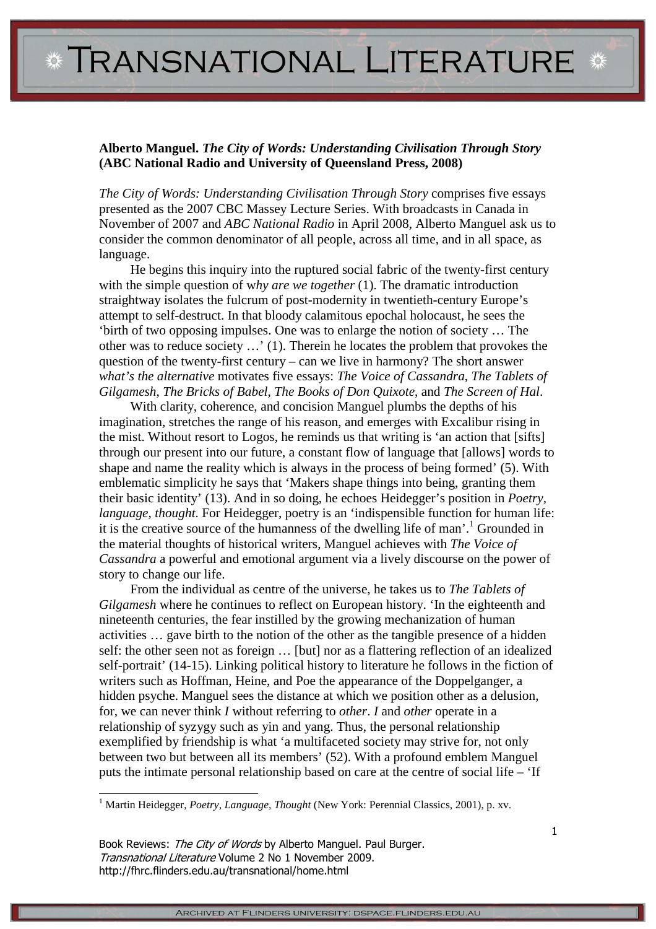**\* TRANSNATIONAL LITERATURE \*** 

## **Alberto Manguel.** *The City of Words: Understanding Civilisation Through Story* **(ABC National Radio and University of Queensland Press, 2008)**

*The City of Words: Understanding Civilisation Through Story* comprises five essays presented as the 2007 CBC Massey Lecture Series. With broadcasts in Canada in November of 2007 and *ABC National Radio* in April 2008, Alberto Manguel ask us to consider the common denominator of all people, across all time, and in all space, as language.

He begins this inquiry into the ruptured social fabric of the twenty-first century with the simple question of why are we together (1). The dramatic introduction straightway isolates the fulcrum of post-modernity in twentieth-century Europe's attempt to self-destruct. In that bloody calamitous epochal holocaust, he sees the 'birth of two opposing impulses. One was to enlarge the notion of society … The other was to reduce society …' (1). Therein he locates the problem that provokes the question of the twenty-first century – can we live in harmony? The short answer *what's the alternative* motivates five essays: *The Voice of Cassandra*, *The Tablets of Gilgamesh*, *The Bricks of Babel*, *The Books of Don Quixote*, and *The Screen of Hal*.

With clarity, coherence, and concision Manguel plumbs the depths of his imagination, stretches the range of his reason, and emerges with Excalibur rising in the mist. Without resort to Logos, he reminds us that writing is 'an action that [sifts] through our present into our future, a constant flow of language that [allows] words to shape and name the reality which is always in the process of being formed' (5). With emblematic simplicity he says that 'Makers shape things into being, granting them their basic identity' (13). And in so doing, he echoes Heidegger's position in *Poetry, language, thought*. For Heidegger, poetry is an 'indispensible function for human life: it is the creative source of the humanness of the dwelling life of man'.<sup>1</sup> Grounded in the material thoughts of historical writers, Manguel achieves with *The Voice of Cassandra* a powerful and emotional argument via a lively discourse on the power of story to change our life.

From the individual as centre of the universe, he takes us to *The Tablets of Gilgamesh* where he continues to reflect on European history. 'In the eighteenth and nineteenth centuries, the fear instilled by the growing mechanization of human activities … gave birth to the notion of the other as the tangible presence of a hidden self: the other seen not as foreign … [but] nor as a flattering reflection of an idealized self-portrait' (14-15). Linking political history to literature he follows in the fiction of writers such as Hoffman, Heine, and Poe the appearance of the Doppelganger, a hidden psyche. Manguel sees the distance at which we position other as a delusion, for, we can never think *I* without referring to *other*. *I* and *other* operate in a relationship of syzygy such as yin and yang. Thus, the personal relationship exemplified by friendship is what 'a multifaceted society may strive for, not only between two but between all its members' (52). With a profound emblem Manguel puts the intimate personal relationship based on care at the centre of social life – 'If

<sup>1</sup> Martin Heidegger, *Poetry, Language, Thought* (New York: Perennial Classics, 2001), p. xv.

Book Reviews: The City of Words by Alberto Manguel. Paul Burger. Transnational Literature Volume 2 No 1 November 2009. http://fhrc.flinders.edu.au/transnational/home.html

l